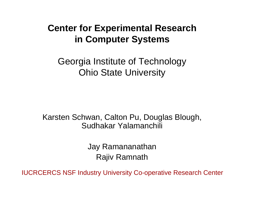### **Center for Experimental Research in Computer Systems**

Georgia Institute of Technology Ohio State University

Karsten Schwan, Calton Pu, Douglas Blough, Sudhakar Yalamanchili

> Jay Ramananathan Rajiv Ramnath

IUCRCERCS NSF Industry University Co-operative Research Center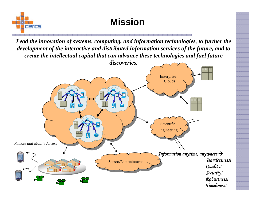

**Mission**

*Lead the innovation of systems, computing, and information technologies, to further the development of the interactive and distributed information services of the future, and to create the intellectual capital that can advance these technologies and fuel future* 

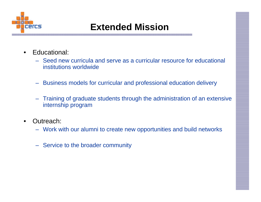

# **Extended Mission**

- $\bullet$  Educational:
	- Seed new curricula and serve as a curricular resource for educational institutions worldwide
	- Business models for curricular and professional education delivery
	- Training of graduate students through the administration of an extensive internship program
- $\bullet$  Outreach:
	- Work with our alumni to create new opportunities and build networks
	- Service to the broader community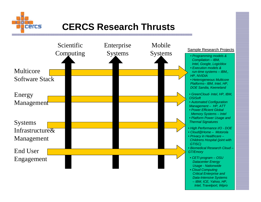

## **CERCS Research Thrusts**

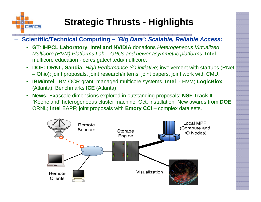

# **Strategic Thrusts - Highlights**

**Scientific/Technical Computing –** *`Big Data': Scalable, Reliable Access:*

- **GT**: **IHPCL Laboratory**: **Intel and NVIDIA** donations *Heterogeneous Virtualized Multicore (HVM) Platforms Lab – GPUs and newer asymmetric platforms*; **Intel** multicore education - cercs.gatech.edu/multicore.
- **DOE: ORNL, Sandia:** *High Performance I/O initiative*; involvement with startups (RNet – Ohio); joint proposals, joint research/interns, joint papers, joint work with CMU.
- $\bullet$  **IBM/Intel**: IBM OCR grant: managed multicore systems, **Intel** - HVM; **LogicBlox** (Atlanta); Benchmarks **ICE** (Atlanta).
- $\bullet$  **News:** Exascale dimensions explored in outstanding proposals; **NSF Track II** `Keeneland' heterogeneous cluster machine, Oct. installation; New awards from **DOE** ORNL; **Intel** EAPF; joint proposals with **Emory CCI** – complex data sets.

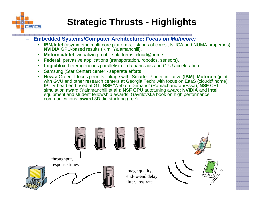

# **Strategic Thrusts - Highlights**

- **Embedded Systems/Computer Architecture:** *Focus on Multicore:*
	- **IBM/Intel** (asymmetric multi-core platforms; 'islands of cores'; NUCA and NUMA properties); **NVIDIA** GPU-based results (Kim, Yalamanchili).
	- •**Motorola/Intel**: virtualizing mobile platforms; cloud@home.
	- •**Federal**: pervasive applications (transportation, robotics, sensors).
	- •**Logicblox**: heterogeneous parallelism – data/threads and GPU acceleration.
	- •Samsung (Star Center) center - separate efforts
	- • **News:** GreenIT focus permits linkage with 'Smarter Planet' initiative (**IBM**); **Motorola** (joint with GVU and other research centers at Georgia Tech) with focus on EaaS (cloud@home): IP-TV head end used at GT; **NSF** 'Web on Demand' (Ramachandran/Essa); **NSF** CRI simulation award (Yalamanchili et al.); **NSF** GPU autotuning award; **NVIDIA** and **Intel** equipment and student fellowship awards; Gavrilovska book on high performance communications; **award** 3D die stacking (Lee).

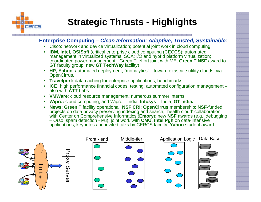

- **Enterprise Computing –** *Clean Information: Adaptive, Trusted, Sustainable:*
	- •Cisco: network and device virtualization; potential joint work in cloud computing.
	- • **IBM, Intel, OSISoft** (critical enterprise cloud computing (CECCS); automated management in virtualized systems; SOA; I/O and hybrid platform virtualization; coordinated power management; `GreenIT' effort joint with ME; **GreenIT NSF** award to GT faculty group; new **GT TechWay** facility)
	- **HP, Yahoo**: automated deployment; `monalytics' toward exascale utility clouds, via OpenCirrus.
	- •**Travelport:** data caching for enterprise applications; benchmarks.
	- **ICE:** high performance financial codes; testing; automated configuration management also with **ATT** Labs.
	- •**VMWare**: cloud resource management; numerous summer interns.
	- •**Wipro:** cloud computing, and Wipro – India; **Infosys** – India; **GT India.**
	- • **News**: **GreenIT** facility operational: **NSF CRI**; **OpenCirrus** membership; **NSF**-funded projects on data privacy preserving indexing and search; `health cloud' collaboration with Center on Comprehensive Informatics (**Emory**); new **NSF** awards (e.g., debugging – Orso, spam detection - Pu); joint work with **CMU, Intel Pgh** on data-intensive applications; keynotes and invited talks by CERCS faculty; **Yahoo** student award.

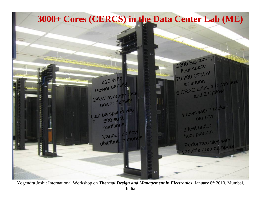

Yogendra Joshi: International Workshop on *Thermal Design and Management in Electronics***,** January 8th 2010, Mumbai, India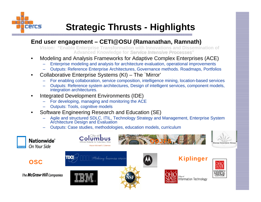

# **Strategic Thrusts - Highlights**

#### **End user engagement – CETI@OSU (Ramanathan, Ramnath)**

*Vision:* **"Enable Enterprise Transformation with Innovations and Dissemination of**  Advanced Knowledge for *Service Intensive Processes*"

- • Modeling and Analysis Frameworks for Adaptive Complex Enterprises (ACE)
	- Enterprise modeling and analysis for architecture evaluation, operational improvements
	- Outputs: Reference Enterprise Architectures, Governance methods. Roadmaps, Portfolios
- • Collaborative Enterprise Systems (KI) – The `Mirror'
	- For enabling collaboration, service composition, intelligence mining, location-based services
	- Outputs: Reference system architectures, Design of intelligent services, component models, integration architectures.
- • Integrated Development Environments (IDE)
	- For developing, managing and monitoring the ACE
	- Outputs: Tools, cognitive models
- • Software Engineering Research and Education (SE)
	- Agile and structured SDLC, ITIL, Technology Strategy and Management, Enterprise System Architecture Design and Evaluation
	- Outputs: Case studies, methodologies, education models, curriculum

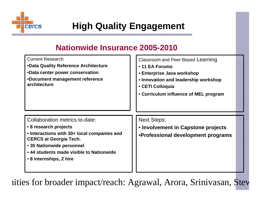

# **High Quality Engagement**

### **Nationwide Insurance 2005-2010**

| <b>Current Research</b><br>.Data Quality Reference Architecture<br>•Data center power conservation<br>•Document management reference<br>architecture                                                                                        | Classroom and Peer-Based Learning<br>• 11 EA Forums<br>• Enterprise Java workshop<br>• Innovation and leadership workshop<br>• CETI Colloquia<br>• Curriculum influence of MEL program |
|---------------------------------------------------------------------------------------------------------------------------------------------------------------------------------------------------------------------------------------------|----------------------------------------------------------------------------------------------------------------------------------------------------------------------------------------|
| Collaboration metrics to-date:<br>• 8 research projects<br>• Interactions with 30+ local companies and<br><b>CERCS at Georgia Tech.</b><br>• 35 Nationwide personnel<br>• 44 students made visible to Nationwide<br>• 8 internships, 2 hire | <b>Next Steps:</b><br>• Involvement in Capstone projects<br>•Professional development programs                                                                                         |

nities for broader impact/reach: Agrawal, Arora, Srinivasan, Ste w

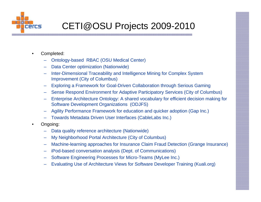

# CETI@OSU Projects 2009-2010

- $\bullet$  Completed:
	- Ontology-based RBAC (OSU Medical Center)
	- Data Center optimization (Nationwide)
	- Inter-Dimensional Traceability and Intelligence Mining for Complex System Improvement (City of Columbus)
	- Exploring a Framework for Goal-Driven Collaboration through Serious Gaming
	- Sense Respond Environment for Adaptive Participatory Services (City of Columbus)
	- Enterprise Architecture Ontology: A shared vocabulary for efficient decision making for Software Development Organizations (ODJFS)
	- –Agility Performance Framework for education and quicker adoption (Gap Inc.)
	- Towards Metadata Driven User Interfaces (CableLabs Inc.)
- • Ongoing:
	- Data quality reference architecture (Nationwide)
	- My Neighborhood Portal Architecture (City of Columbus)
	- Machine-learning approaches for Insurance Claim Fraud Detection (Grange Insurance)
	- iPod-based conversation analysis (Dept. of Communications)
	- Software Engineering Processes for Micro-Teams (MyLee Inc.)
	- Evaluating Use of Architecture Views for Software Developer Training (Kuali.org)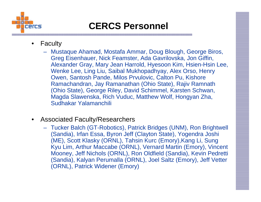

## **CERCS Personnel**

- • Faculty
	- Mustaque Ahamad, Mostafa Ammar, Doug Blough, George Biros, Greg Eisenhauer, Nick Feamster, Ada Gavrilovska, Jon Giffin, Alexander Gray, Mary Jean Harrold, Hyesoon Kim, Hsien-Hsin Lee, Wenke Lee, Ling Liu, Saibal Mukhopadhyay, Alex Orso, Henry Owen, Santosh Pande, Milos Prvulovic, Calton Pu, Kishore Ramachandran, Jay Ramanathan (Ohio State), Rajiv Ramnath (Ohio State), George Riley, David Schimmel, Karsten Schwan, Magda Slawenska, Rich Vuduc, Matthew Wolf, Hongyan Zha, Sudhakar Yalamanchili
- • Associated Faculty/Researchers
	- Tucker Balch (GT-Robotics), Patrick Bridges (UNM), Ron Brightwell (Sandia), Irfan Essa, Byron Jeff (Clayton State), Yogendra Joshi (ME), Scott Klasky (ORNL), Tahsin Kurc (Emory),Kang Li, Sung Kyu Lim, Arthur Maccabe (ORNL), Vernard Martin (Emory), Vincent Mooney, Jeff Nichols (ORNL), Ron Oldfield (Sandia), Kevin Pedretti (Sandia), Kalyan Perumalla (ORNL), Joel Saltz (Emory), Jeff Vetter (ORNL), Patrick Widener (Emory)